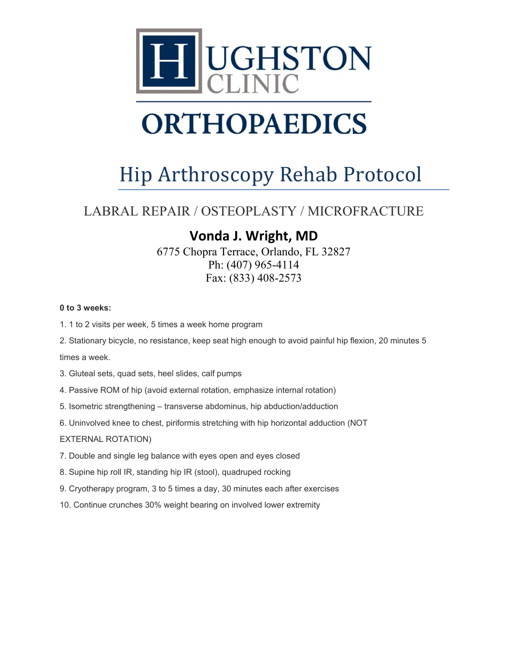

# **ORTHOPAEDICS**

### Hip Arthroscopy Rehab Protocol

### LABRAL REPAIR / OSTEOPLASTY / MICROFRACTURE

### **Vonda J. Wright, MD**

6775 Chopra Terrace, Orlando, FL 32827 Ph: (407) 965-4114 Fax: (833) 408-2573

#### **0 to 3 weeks:**

- 1. 1 to 2 visits per week, 5 times a week home program
- 2. Stationary bicycle, no resistance, keep seat high enough to avoid painful hip flexion, 20 minutes 5

times a week.

- 3. Gluteal sets, quad sets, heel slides, calf pumps
- 4. Passive ROM of hip (avoid external rotation, emphasize internal rotation)
- 5. Isometric strengthening transverse abdominus, hip abduction/adduction
- 6. Uninvolved knee to chest, piriformis stretching with hip horizontal adduction (NOT

#### EXTERNAL ROTATION)

- 7. Double and single leg balance with eyes open and eyes closed
- 8. Supine hip roll IR, standing hip IR (stool), quadruped rocking
- 9. Cryotherapy program, 3 to 5 times a day, 30 minutes each after exercises
- 10. Continue crunches 30% weight bearing on involved lower extremity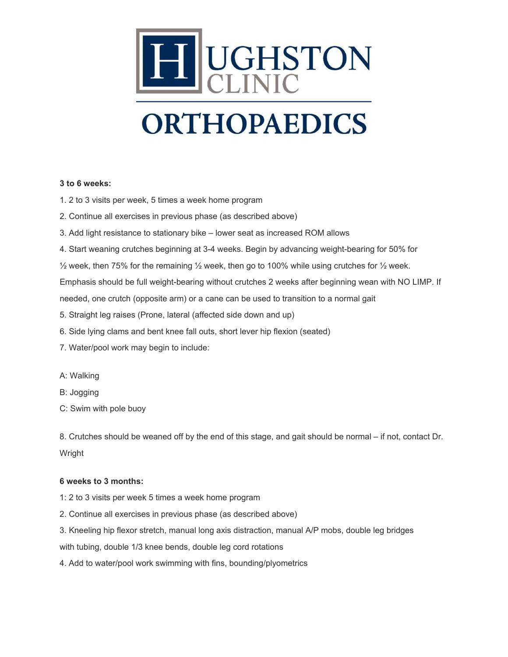

## **ORTHOPAEDICS**

#### **3 to 6 weeks:**

- 1. 2 to 3 visits per week, 5 times a week home program
- 2. Continue all exercises in previous phase (as described above)
- 3. Add light resistance to stationary bike lower seat as increased ROM allows
- 4. Start weaning crutches beginning at 3-4 weeks. Begin by advancing weight-bearing for 50% for
- $\frac{1}{2}$  week, then 75% for the remaining  $\frac{1}{2}$  week, then go to 100% while using crutches for  $\frac{1}{2}$  week.

Emphasis should be full weight-bearing without crutches 2 weeks after beginning wean with NO LIMP. If

needed, one crutch (opposite arm) or a cane can be used to transition to a normal gait

- 5. Straight leg raises (Prone, lateral (affected side down and up)
- 6. Side lying clams and bent knee fall outs, short lever hip flexion (seated)
- 7. Water/pool work may begin to include:
- A: Walking
- B: Jogging
- C: Swim with pole buoy

8. Crutches should be weaned off by the end of this stage, and gait should be normal – if not, contact Dr. Wright

#### **6 weeks to 3 months:**

- 1: 2 to 3 visits per week 5 times a week home program
- 2. Continue all exercises in previous phase (as described above)
- 3. Kneeling hip flexor stretch, manual long axis distraction, manual A/P mobs, double leg bridges

with tubing, double 1/3 knee bends, double leg cord rotations

4. Add to water/pool work swimming with fins, bounding/plyometrics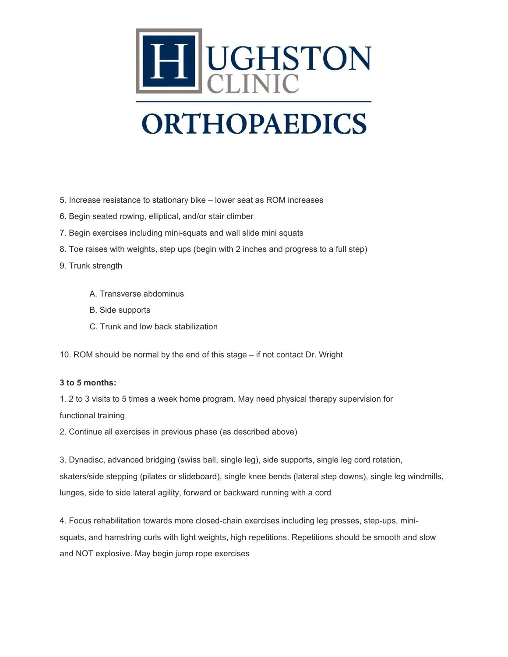

## **ORTHOPAEDICS**

- 5. Increase resistance to stationary bike lower seat as ROM increases
- 6. Begin seated rowing, elliptical, and/or stair climber
- 7. Begin exercises including mini-squats and wall slide mini squats
- 8. Toe raises with weights, step ups (begin with 2 inches and progress to a full step)
- 9. Trunk strength
	- A. Transverse abdominus
	- B. Side supports
	- C. Trunk and low back stabilization

10. ROM should be normal by the end of this stage – if not contact Dr. Wright

#### **3 to 5 months:**

1. 2 to 3 visits to 5 times a week home program. May need physical therapy supervision for functional training

2. Continue all exercises in previous phase (as described above)

3. Dynadisc, advanced bridging (swiss ball, single leg), side supports, single leg cord rotation, skaters/side stepping (pilates or slideboard), single knee bends (lateral step downs), single leg windmills, lunges, side to side lateral agility, forward or backward running with a cord

4. Focus rehabilitation towards more closed-chain exercises including leg presses, step-ups, minisquats, and hamstring curls with light weights, high repetitions. Repetitions should be smooth and slow and NOT explosive. May begin jump rope exercises